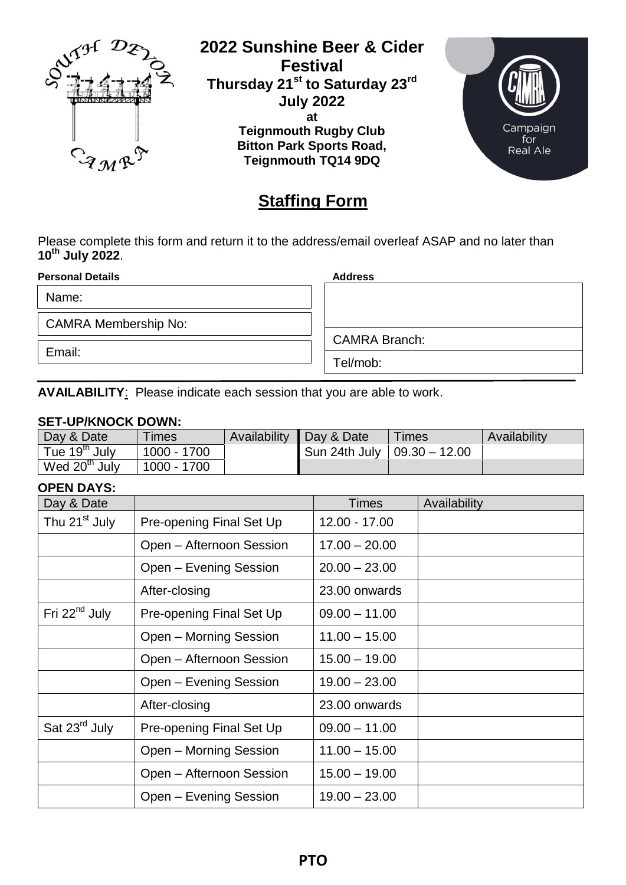

**2022 Sunshine Beer & Cider Festival Thursday 21st to Saturday 23rd July 2022 at Teignmouth Rugby Club Bitton Park Sports Road, Teignmouth TQ14 9DQ**



## **Staffing Form**

Please complete this form and return it to the address/email overleaf ASAP and no later than **10th July 2022**.

**Personal Details Address**

Name:

CAMRA Membership No:

Email:

CAMRA Branch:

Tel/mob:

**AVAILABILITY**: Please indicate each session that you are able to work.

## **SET-UP/KNOCK DOWN:**

| Day & Date                | Times       | Availability | Day & Date                    | Times | Availability |
|---------------------------|-------------|--------------|-------------------------------|-------|--------------|
| Tue 19 <sup>th</sup> July | 1000 - 1700 |              | Sun 24th July   09.30 - 12.00 |       |              |
| Wed 20 <sup>th</sup> July | 1000 - 1700 |              |                               |       |              |

## **OPEN DAYS:**

| Day & Date                |                          | Times           | Availability |
|---------------------------|--------------------------|-----------------|--------------|
| Thu 21 <sup>st</sup> July | Pre-opening Final Set Up | 12.00 - 17.00   |              |
|                           | Open - Afternoon Session | $17.00 - 20.00$ |              |
|                           | Open - Evening Session   | $20.00 - 23.00$ |              |
|                           | After-closing            | 23.00 onwards   |              |
| Fri $22^{nd}$ July        | Pre-opening Final Set Up | $09.00 - 11.00$ |              |
|                           | Open - Morning Session   | $11.00 - 15.00$ |              |
|                           | Open - Afternoon Session | $15.00 - 19.00$ |              |
|                           | Open – Evening Session   | $19.00 - 23.00$ |              |
|                           | After-closing            | 23.00 onwards   |              |
| Sat 23 <sup>rd</sup> July | Pre-opening Final Set Up | $09.00 - 11.00$ |              |
|                           | Open - Morning Session   | $11.00 - 15.00$ |              |
|                           | Open - Afternoon Session | $15.00 - 19.00$ |              |
|                           | Open - Evening Session   | $19.00 - 23.00$ |              |